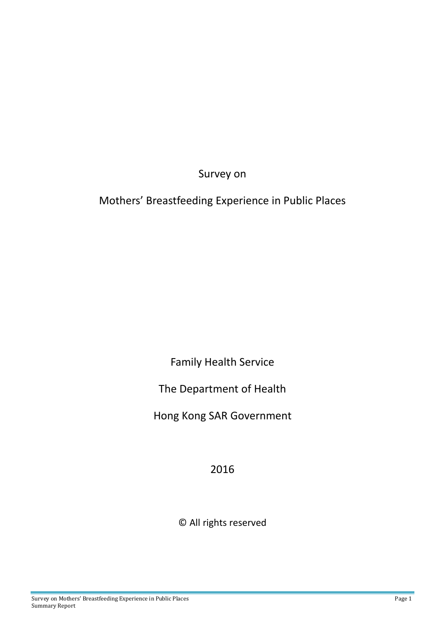Survey on

Mothers' Breastfeeding Experience in Public Places

Family Health Service

The Department of Health

Hong Kong SAR Government

2016

© All rights reserved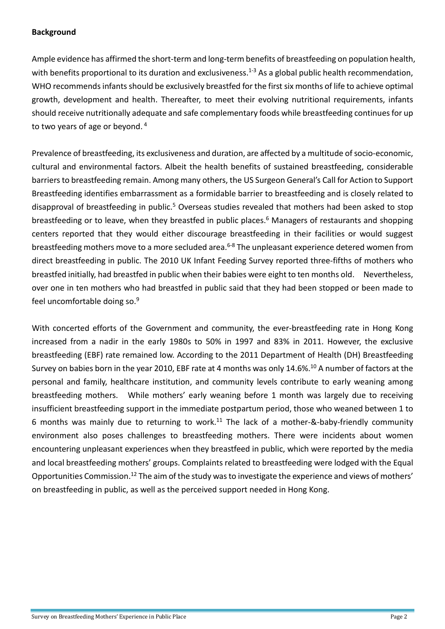#### **Background**

Ample evidence has affirmed the short-term and long-term benefits of breastfeeding on population health, with benefits proportional to its duration and exclusiveness.<sup>1-3</sup> As a global public health recommendation, WHO recommends infants should be exclusively breastfed for the first six months of life to achieve optimal growth, development and health. Thereafter, to meet their evolving nutritional requirements, infants should receive nutritionally adequate and safe complementary foods while breastfeeding continues for up to two years of age or beyond. <sup>4</sup>

Prevalence of breastfeeding, its exclusiveness and duration, are affected by a multitude of socio-economic, cultural and environmental factors. Albeit the health benefits of sustained breastfeeding, considerable barriers to breastfeeding remain. Among many others, the US Surgeon General's Call for Action to Support Breastfeeding identifies embarrassment as a formidable barrier to breastfeeding and is closely related to disapproval of breastfeeding in public.<sup>5</sup> Overseas studies revealed that mothers had been asked to stop breastfeeding or to leave, when they breastfed in public places.<sup>6</sup> Managers of restaurants and shopping centers reported that they would either discourage breastfeeding in their facilities or would suggest breastfeeding mothers move to a more secluded area.<sup>6-8</sup> The unpleasant experience detered women from direct breastfeeding in public. The 2010 UK Infant Feeding Survey reported three-fifths of mothers who breastfed initially, had breastfed in public when their babies were eight to ten months old. Nevertheless, over one in ten mothers who had breastfed in public said that they had been stopped or been made to feel uncomfortable doing so.9

With concerted efforts of the Government and community, the ever-breastfeeding rate in Hong Kong increased from a nadir in the early 1980s to 50% in 1997 and 83% in 2011. However, the exclusive breastfeeding (EBF) rate remained low. According to the 2011 Department of Health (DH) Breastfeeding Survey on babies born in the year 2010, EBF rate at 4 months was only 14.6%.<sup>10</sup> A number of factors at the personal and family, healthcare institution, and community levels contribute to early weaning among breastfeeding mothers. While mothers' early weaning before 1 month was largely due to receiving insufficient breastfeeding support in the immediate postpartum period, those who weaned between 1 to 6 months was mainly due to returning to work.<sup>11</sup> The lack of a mother-&-baby-friendly community environment also poses challenges to breastfeeding mothers. There were incidents about women encountering unpleasant experiences when they breastfeed in public, which were reported by the media and local breastfeeding mothers' groups. Complaints related to breastfeeding were lodged with the Equal Opportunities Commission.<sup>12</sup> The aim of the study was to investigate the experience and views of mothers' on breastfeeding in public, as well as the perceived support needed in Hong Kong.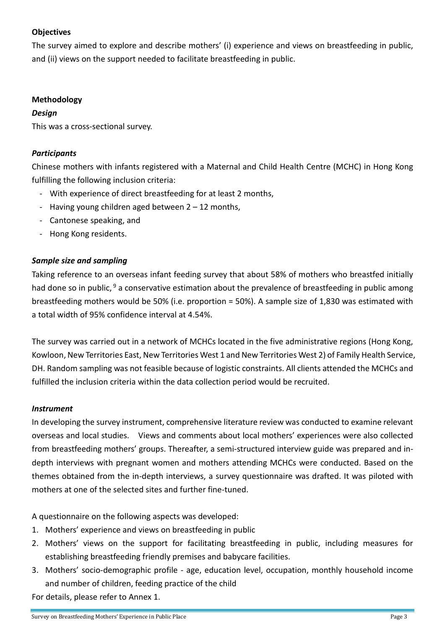# **Objectives**

The survey aimed to explore and describe mothers' (i) experience and views on breastfeeding in public, and (ii) views on the support needed to facilitate breastfeeding in public.

# **Methodology**

## *Design*

This was a cross-sectional survey.

## *Participants*

Chinese mothers with infants registered with a Maternal and Child Health Centre (MCHC) in Hong Kong fulfilling the following inclusion criteria:

- With experience of direct breastfeeding for at least 2 months,
- Having young children aged between 2 12 months,
- Cantonese speaking, and
- Hong Kong residents.

# *Sample size and sampling*

Taking reference to an overseas infant feeding survey that about 58% of mothers who breastfed initially had done so in public,  $9$  a conservative estimation about the prevalence of breastfeeding in public among breastfeeding mothers would be 50% (i.e. proportion = 50%). A sample size of 1,830 was estimated with a total width of 95% confidence interval at 4.54%.

The survey was carried out in a network of MCHCs located in the five administrative regions (Hong Kong, Kowloon, New Territories East, New Territories West 1 and New Territories West 2) of Family Health Service, DH. Random sampling was not feasible because of logistic constraints. All clients attended the MCHCs and fulfilled the inclusion criteria within the data collection period would be recruited.

#### *Instrument*

In developing the survey instrument, comprehensive literature review was conducted to examine relevant overseas and local studies. Views and comments about local mothers' experiences were also collected from breastfeeding mothers' groups. Thereafter, a semi-structured interview guide was prepared and indepth interviews with pregnant women and mothers attending MCHCs were conducted. Based on the themes obtained from the in-depth interviews, a survey questionnaire was drafted. It was piloted with mothers at one of the selected sites and further fine-tuned.

A questionnaire on the following aspects was developed:

- 1. Mothers' experience and views on breastfeeding in public
- 2. Mothers' views on the support for facilitating breastfeeding in public, including measures for establishing breastfeeding friendly premises and babycare facilities.
- 3. Mothers' socio-demographic profile age, education level, occupation, monthly household income and number of children, feeding practice of the child

For details, please refer to Annex 1.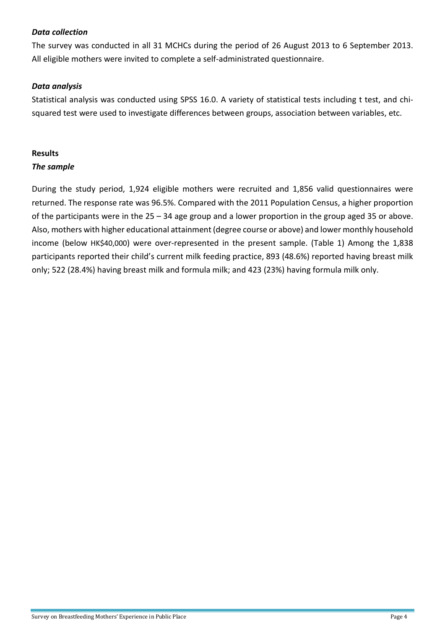# *Data collection*

The survey was conducted in all 31 MCHCs during the period of 26 August 2013 to 6 September 2013. All eligible mothers were invited to complete a self-administrated questionnaire.

# *Data analysis*

Statistical analysis was conducted using SPSS 16.0. A variety of statistical tests including t test, and chisquared test were used to investigate differences between groups, association between variables, etc.

## **Results**

# *The sample*

During the study period, 1,924 eligible mothers were recruited and 1,856 valid questionnaires were returned. The response rate was 96.5%. Compared with the 2011 Population Census, a higher proportion of the participants were in the 25 – 34 age group and a lower proportion in the group aged 35 or above. Also, mothers with higher educational attainment (degree course or above) and lower monthly household income (below HK\$40,000) were over-represented in the present sample. (Table 1) Among the 1,838 participants reported their child's current milk feeding practice, 893 (48.6%) reported having breast milk only; 522 (28.4%) having breast milk and formula milk; and 423 (23%) having formula milk only.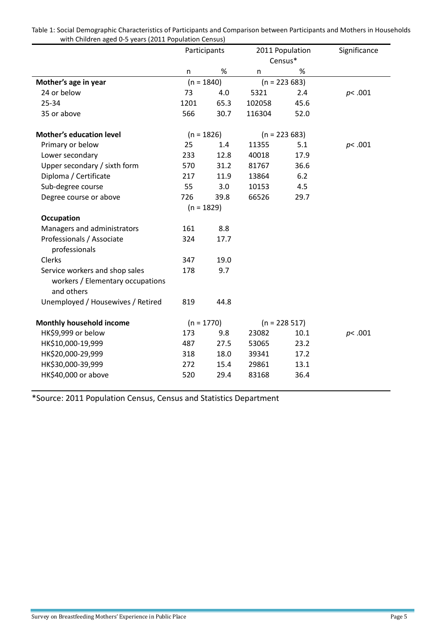|                                                                                  | Participants |      |        | 2011 Population | Significance |
|----------------------------------------------------------------------------------|--------------|------|--------|-----------------|--------------|
|                                                                                  |              |      |        | Census*         |              |
|                                                                                  | n            | %    | n      | %               |              |
| Mother's age in year                                                             | $(n = 1840)$ |      |        | $(n = 223683)$  |              |
| 24 or below                                                                      | 73           | 4.0  | 5321   | 2.4             | p<.001       |
| 25-34                                                                            | 1201         | 65.3 | 102058 | 45.6            |              |
| 35 or above                                                                      | 566          | 30.7 | 116304 | 52.0            |              |
| <b>Mother's education level</b>                                                  | $(n = 1826)$ |      |        | $(n = 223683)$  |              |
| Primary or below                                                                 | 25           | 1.4  | 11355  | 5.1             | p<.001       |
| Lower secondary                                                                  | 233          | 12.8 | 40018  | 17.9            |              |
| Upper secondary / sixth form                                                     | 570          | 31.2 | 81767  | 36.6            |              |
| Diploma / Certificate                                                            | 217          | 11.9 | 13864  | 6.2             |              |
| Sub-degree course                                                                | 55           | 3.0  | 10153  | 4.5             |              |
| Degree course or above                                                           | 726          | 39.8 | 66526  | 29.7            |              |
|                                                                                  | $(n = 1829)$ |      |        |                 |              |
| <b>Occupation</b>                                                                |              |      |        |                 |              |
| Managers and administrators                                                      | 161          | 8.8  |        |                 |              |
| Professionals / Associate<br>professionals                                       | 324          | 17.7 |        |                 |              |
| Clerks                                                                           | 347          | 19.0 |        |                 |              |
| Service workers and shop sales<br>workers / Elementary occupations<br>and others | 178          | 9.7  |        |                 |              |
| Unemployed / Housewives / Retired                                                | 819          | 44.8 |        |                 |              |
| Monthly household income                                                         | $(n = 1770)$ |      |        | $(n = 228517)$  |              |
| HK\$9,999 or below                                                               | 173          | 9.8  | 23082  | 10.1            | p<.001       |
| HK\$10,000-19,999                                                                | 487          | 27.5 | 53065  | 23.2            |              |
| HK\$20,000-29,999                                                                | 318          | 18.0 | 39341  | 17.2            |              |
| HK\$30,000-39,999                                                                | 272          | 15.4 | 29861  | 13.1            |              |
| HK\$40,000 or above                                                              | 520          | 29.4 | 83168  | 36.4            |              |
|                                                                                  |              |      |        |                 |              |

Table 1: Social Demographic Characteristics of Participants and Comparison between Participants and Mothers in Households with Children aged 0-5 years (2011 Population Census)

\*Source: 2011 Population Census, Census and Statistics Department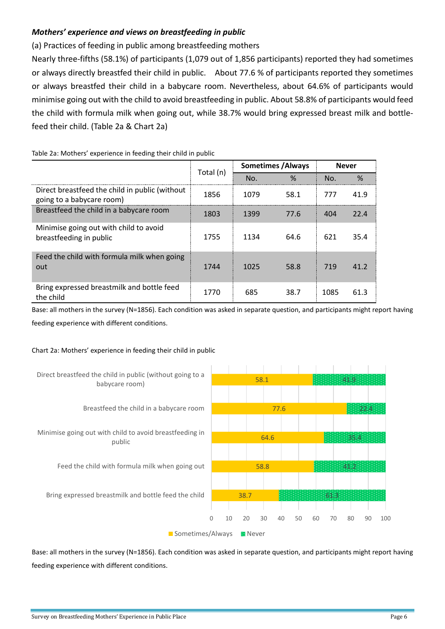# *Mothers' experience and views on breastfeeding in public*

(a) Practices of feeding in public among breastfeeding mothers

Nearly three-fifths (58.1%) of participants (1,079 out of 1,856 participants) reported they had sometimes or always directly breastfed their child in public. About 77.6 % of participants reported they sometimes or always breastfed their child in a babycare room. Nevertheless, about 64.6% of participants would minimise going out with the child to avoid breastfeeding in public. About 58.8% of participants would feed the child with formula milk when going out, while 38.7% would bring expressed breast milk and bottlefeed their child. (Table 2a & Chart 2a)

|                                                                             |           |      | Sometimes / Always |      | <b>Never</b> |
|-----------------------------------------------------------------------------|-----------|------|--------------------|------|--------------|
|                                                                             | Total (n) | No.  | %                  | No.  | %            |
| Direct breastfeed the child in public (without<br>going to a babycare room) | 1856      | 1079 | 58.1               | 777  | 41.9         |
| Breastfeed the child in a babycare room                                     | 1803      | 1399 | 77.6               | 404  | 22.4         |
| Minimise going out with child to avoid<br>breastfeeding in public           | 1755      | 1134 | 64.6               | 621  | 35.4         |
| Feed the child with formula milk when going<br>out                          | 1744      | 1025 | 58.8               | 719  | 41.2         |
| Bring expressed breastmilk and bottle feed<br>the child                     | 1770      | 685  | 38.7               | 1085 | 61.3         |

Table 2a: Mothers' experience in feeding their child in public

Base: all mothers in the survey (N=1856). Each condition was asked in separate question, and participants might report having feeding experience with different conditions.

#### Chart 2a: Mothers' experience in feeding their child in public



Base: all mothers in the survey (N=1856). Each condition was asked in separate question, and participants might report having feeding experience with different conditions.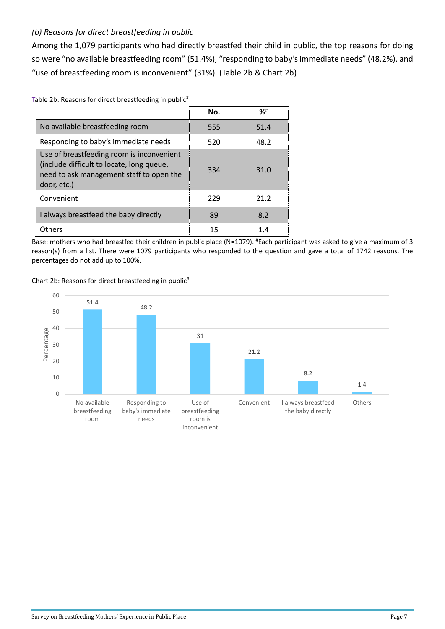# *(b) Reasons for direct breastfeeding in public*

Among the 1,079 participants who had directly breastfed their child in public, the top reasons for doing so were "no available breastfeeding room" (51.4%), "responding to baby's immediate needs" (48.2%), and "use of breastfeeding room is inconvenient" (31%). (Table 2b & Chart 2b)

Table 2b: Reasons for direct breastfeeding in public<sup>#</sup>

|                                                                                                                                                   | No. | %#   |
|---------------------------------------------------------------------------------------------------------------------------------------------------|-----|------|
| No available breastfeeding room                                                                                                                   | 555 | 51.4 |
| Responding to baby's immediate needs                                                                                                              | 520 | 48.2 |
| Use of breastfeeding room is inconvenient<br>(include difficult to locate, long queue,<br>need to ask management staff to open the<br>door, etc.) | 334 | 31.0 |
| Convenient                                                                                                                                        | 229 | 21.2 |
| I always breastfeed the baby directly                                                                                                             | 89  | 8.2  |
| Others                                                                                                                                            | 15  | 1.4  |

Base: mothers who had breastfed their children in public place (N=1079). <sup>#</sup>Each participant was asked to give a maximum of 3 reason(s) from a list. There were 1079 participants who responded to the question and gave a total of 1742 reasons. The percentages do not add up to 100%.



Chart 2b: Reasons for direct breastfeeding in public<sup>#</sup>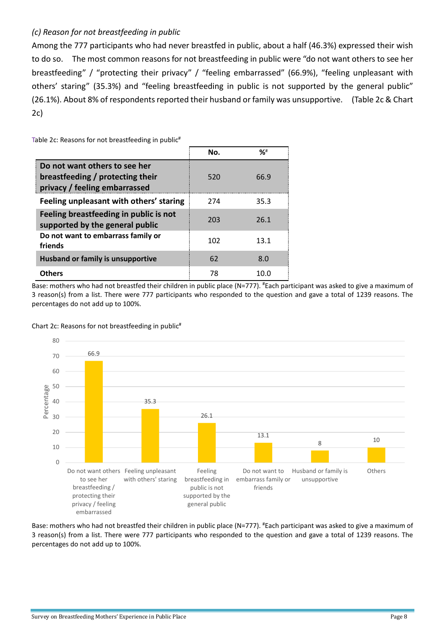# *(c) Reason for not breastfeeding in public*

Among the 777 participants who had never breastfed in public, about a half (46.3%) expressed their wish to do so. The most common reasons for not breastfeeding in public were "do not want others to see her breastfeeding" / "protecting their privacy" / "feeling embarrassed" (66.9%), "feeling unpleasant with others' staring" (35.3%) and "feeling breastfeeding in public is not supported by the general public" (26.1%). About 8% of respondents reported their husband or family was unsupportive. (Table 2c & Chart 2c)

Table 2c: Reasons for not breastfeeding in public<sup>#</sup>

|                                                                                                    | No. | %#   |
|----------------------------------------------------------------------------------------------------|-----|------|
| Do not want others to see her<br>breastfeeding / protecting their<br>privacy / feeling embarrassed | 520 | 66.9 |
| Feeling unpleasant with others' staring                                                            | 274 | 35.3 |
| Feeling breastfeeding in public is not<br>supported by the general public                          | 203 | 26.1 |
| Do not want to embarrass family or<br>friends                                                      | 102 | 13.1 |
| Husband or family is unsupportive                                                                  | 62  | 8.0  |
| <b>Others</b>                                                                                      | 78  | 10.0 |

Base: mothers who had not breastfed their children in public place (N=777). <sup>#</sup>Each participant was asked to give a maximum of 3 reason(s) from a list. There were 777 participants who responded to the question and gave a total of 1239 reasons. The percentages do not add up to 100%.



Chart 2c: Reasons for not breastfeeding in public<sup>#</sup>

Base: mothers who had not breastfed their children in public place (N=777). <sup>#</sup>Each participant was asked to give a maximum of 3 reason(s) from a list. There were 777 participants who responded to the question and gave a total of 1239 reasons. The percentages do not add up to 100%.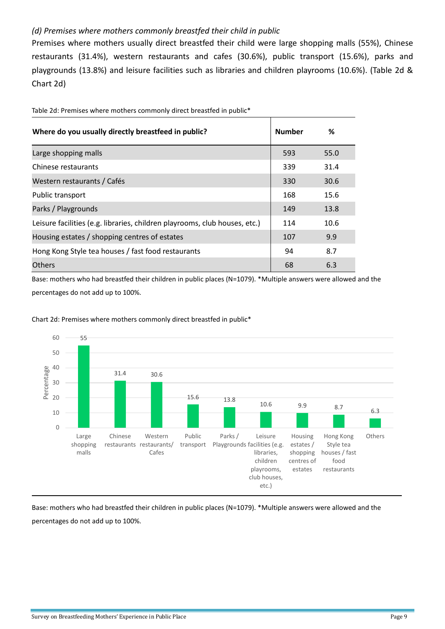# *(d) Premises where mothers commonly breastfed their child in public*

Premises where mothers usually direct breastfed their child were large shopping malls (55%), Chinese restaurants (31.4%), western restaurants and cafes (30.6%), public transport (15.6%), parks and playgrounds (13.8%) and leisure facilities such as libraries and children playrooms (10.6%). (Table 2d & Chart 2d)

| Where do you usually directly breastfeed in public?                        | <b>Number</b> | %    |  |
|----------------------------------------------------------------------------|---------------|------|--|
| Large shopping malls                                                       | 593           | 55.0 |  |
| Chinese restaurants                                                        | 339           | 31.4 |  |
| Western restaurants / Cafés                                                | 330           | 30.6 |  |
| Public transport                                                           | 168           | 15.6 |  |
| Parks / Playgrounds                                                        | 149           | 13.8 |  |
| Leisure facilities (e.g. libraries, children playrooms, club houses, etc.) | 114           | 10.6 |  |
| Housing estates / shopping centres of estates                              | 107           | 9.9  |  |
| Hong Kong Style tea houses / fast food restaurants                         | 94            | 8.7  |  |
| Others                                                                     | 68            | 6.3  |  |

Table 2d: Premises where mothers commonly direct breastfed in public\*

Base: mothers who had breastfed their children in public places (N=1079). \*Multiple answers were allowed and the percentages do not add up to 100%.



Chart 2d: Premises where mothers commonly direct breastfed in public\*

Base: mothers who had breastfed their children in public places (N=1079). \*Multiple answers were allowed and the percentages do not add up to 100%.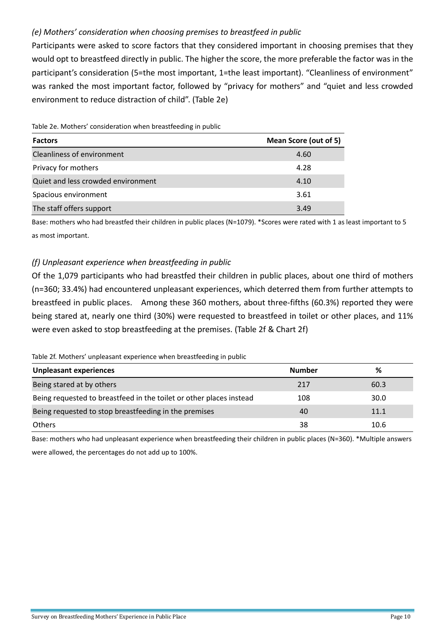# *(e) Mothers' consideration when choosing premises to breastfeed in public*

Participants were asked to score factors that they considered important in choosing premises that they would opt to breastfeed directly in public. The higher the score, the more preferable the factor was in the participant's consideration (5=the most important, 1=the least important). "Cleanliness of environment" was ranked the most important factor, followed by "privacy for mothers" and "quiet and less crowded environment to reduce distraction of child". (Table 2e)

| iapic LC. inotificity consideration which predstreeding in papilo |                       |
|-------------------------------------------------------------------|-----------------------|
| <b>Factors</b>                                                    | Mean Score (out of 5) |
| <b>Cleanliness of environment</b>                                 | 4.60                  |
| Privacy for mothers                                               | 4.28                  |
| Quiet and less crowded environment                                | 4.10                  |
| Spacious environment                                              | 3.61                  |
| The staff offers support                                          | 3.49                  |

Table 2e. Mothers' consideration when breastfeeding in public

Base: mothers who had breastfed their children in public places (N=1079). \*Scores were rated with 1 as least important to 5 as most important.

# *(f) Unpleasant experience when breastfeeding in public*

Of the 1,079 participants who had breastfed their children in public places, about one third of mothers (n=360; 33.4%) had encountered unpleasant experiences, which deterred them from further attempts to breastfeed in public places. Among these 360 mothers, about three-fifths (60.3%) reported they were being stared at, nearly one third (30%) were requested to breastfeed in toilet or other places, and 11% were even asked to stop breastfeeding at the premises. (Table 2f & Chart 2f)

#### Table 2f. Mothers' unpleasant experience when breastfeeding in public

| <b>Unpleasant experiences</b>                                       | <b>Number</b> | ℅    |
|---------------------------------------------------------------------|---------------|------|
| Being stared at by others                                           | 217           | 60.3 |
| Being requested to breastfeed in the toilet or other places instead | 108           | 30.0 |
| Being requested to stop breastfeeding in the premises               | 40            | 11.1 |
| <b>Others</b>                                                       | 38            | 10.6 |

Base: mothers who had unpleasant experience when breastfeeding their children in public places (N=360). \*Multiple answers were allowed, the percentages do not add up to 100%.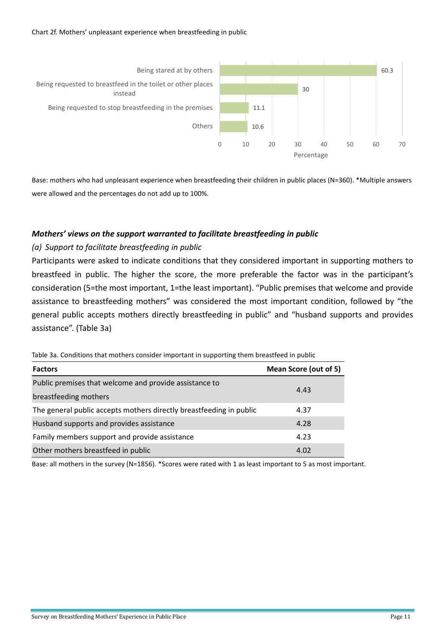

Base: mothers who had unpleasant experience when breastfeeding their children in public places (N=360). \*Multiple answers were allowed and the percentages do not add up to 100%.

# *Mothers' views on the support warranted to facilitate breastfeeding in public*

#### *(a) Support to facilitate breastfeeding in public*

Participants were asked to indicate conditions that they considered important in supporting mothers to breastfeed in public. The higher the score, the more preferable the factor was in the participant's consideration (5=the most important, 1=the least important). "Public premises that welcome and provide assistance to breastfeeding mothers" was considered the most important condition, followed by "the general public accepts mothers directly breastfeeding in public" and "husband supports and provides assistance". (Table 3a)

| <b>Factors</b>                                                      | Mean Score (out of 5) |
|---------------------------------------------------------------------|-----------------------|
| Public premises that welcome and provide assistance to              |                       |
| breastfeeding mothers                                               | 4.43                  |
| The general public accepts mothers directly breastfeeding in public | 4.37                  |
| Husband supports and provides assistance                            | 4.28                  |
| Family members support and provide assistance                       | 4.23                  |
| Other mothers breastfeed in public                                  | 4.02                  |

Table 3a. Conditions that mothers consider important in supporting them breastfeed in public

Base: all mothers in the survey (N=1856). \*Scores were rated with 1 as least important to 5 as most important.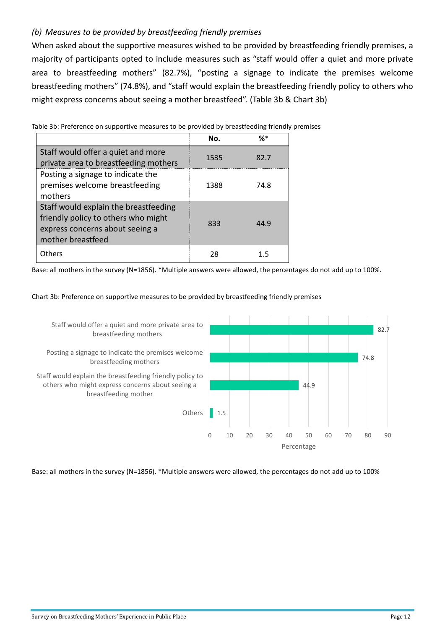# *(b) Measures to be provided by breastfeeding friendly premises*

When asked about the supportive measures wished to be provided by breastfeeding friendly premises, a majority of participants opted to include measures such as "staff would offer a quiet and more private area to breastfeeding mothers" (82.7%), "posting a signage to indicate the premises welcome breastfeeding mothers" (74.8%), and "staff would explain the breastfeeding friendly policy to others who might express concerns about seeing a mother breastfeed". (Table 3b & Chart 3b)

|                                                                                                                                      | No.  | %    |
|--------------------------------------------------------------------------------------------------------------------------------------|------|------|
| Staff would offer a quiet and more<br>private area to breastfeeding mothers                                                          | 1535 | 82.7 |
| Posting a signage to indicate the<br>premises welcome breastfeeding<br>mothers                                                       | 1388 | 74.8 |
| Staff would explain the breastfeeding<br>friendly policy to others who might<br>express concerns about seeing a<br>mother breastfeed | 833  | 44.9 |
| Others                                                                                                                               | 28   | 1.5  |

Table 3b: Preference on supportive measures to be provided by breastfeeding friendly premises

Base: all mothers in the survey (N=1856). \*Multiple answers were allowed, the percentages do not add up to 100%.

#### Chart 3b: Preference on supportive measures to be provided by breastfeeding friendly premises



Base: all mothers in the survey (N=1856). \*Multiple answers were allowed, the percentages do not add up to 100%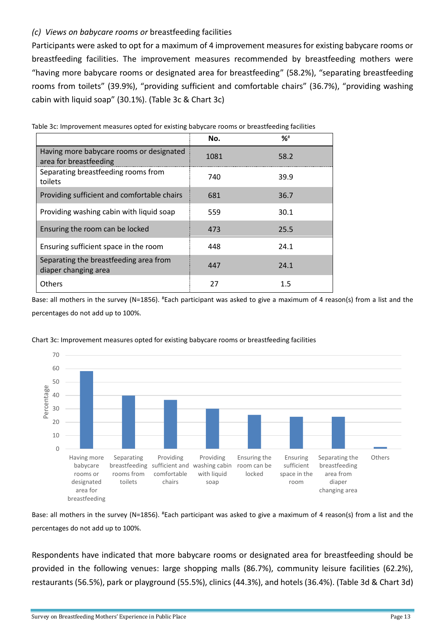## *(c) Views on babycare rooms or* breastfeeding facilities

Participants were asked to opt for a maximum of 4 improvement measures for existing babycare rooms or breastfeeding facilities. The improvement measures recommended by breastfeeding mothers were "having more babycare rooms or designated area for breastfeeding" (58.2%), "separating breastfeeding rooms from toilets" (39.9%), "providing sufficient and comfortable chairs" (36.7%), "providing washing cabin with liquid soap" (30.1%). (Table 3c & Chart 3c)

|                                                                    | No.  | %    |
|--------------------------------------------------------------------|------|------|
| Having more babycare rooms or designated<br>area for breastfeeding | 1081 | 58.2 |
| Separating breastfeeding rooms from<br>toilets                     | 740  | 39.9 |
| Providing sufficient and comfortable chairs                        | 681  | 36.7 |
| Providing washing cabin with liquid soap                           | 559  | 30.1 |
| Ensuring the room can be locked                                    | 473  | 25.5 |
| Ensuring sufficient space in the room                              | 448  | 24.1 |
| Separating the breastfeeding area from<br>diaper changing area     | 447  | 24.1 |
| Others                                                             | 27   | 1.5  |

Table 3c: Improvement measures opted for existing babycare rooms or breastfeeding facilities

Base: all mothers in the survey (N=1856). #Each participant was asked to give a maximum of 4 reason(s) from a list and the percentages do not add up to 100%.



Chart 3c: Improvement measures opted for existing babycare rooms or breastfeeding facilities

Base: all mothers in the survey (N=1856). #Each participant was asked to give a maximum of 4 reason(s) from a list and the percentages do not add up to 100%.

Respondents have indicated that more babycare rooms or designated area for breastfeeding should be provided in the following venues: large shopping malls (86.7%), community leisure facilities (62.2%), restaurants (56.5%), park or playground (55.5%), clinics (44.3%), and hotels (36.4%). (Table 3d & Chart 3d)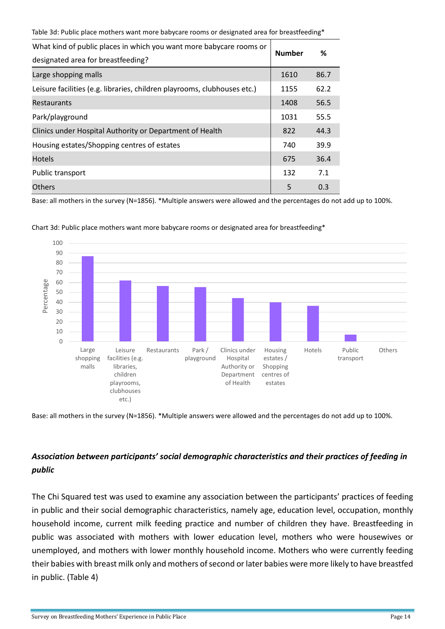| Table 3d: Public place mothers want more babycare rooms or designated area for breastfeeding* |  |  |
|-----------------------------------------------------------------------------------------------|--|--|
|                                                                                               |  |  |

| What kind of public places in which you want more babycare rooms or<br>designated area for breastfeeding? |      | %    |
|-----------------------------------------------------------------------------------------------------------|------|------|
| Large shopping malls                                                                                      | 1610 | 86.7 |
| Leisure facilities (e.g. libraries, children playrooms, clubhouses etc.)                                  | 1155 | 62.2 |
| Restaurants                                                                                               | 1408 | 56.5 |
| Park/playground                                                                                           | 1031 | 55.5 |
| Clinics under Hospital Authority or Department of Health                                                  | 822  | 44.3 |
| Housing estates/Shopping centres of estates                                                               | 740  | 39.9 |
| <b>Hotels</b>                                                                                             | 675  | 36.4 |
| Public transport                                                                                          | 132  | 7.1  |
| <b>Others</b>                                                                                             | 5    | 0.3  |

Base: all mothers in the survey (N=1856). \*Multiple answers were allowed and the percentages do not add up to 100%.



Chart 3d: Public place mothers want more babycare rooms or designated area for breastfeeding\*

Base: all mothers in the survey (N=1856). \*Multiple answers were allowed and the percentages do not add up to 100%.

# *Association between participants' social demographic characteristics and their practices of feeding in public*

The Chi Squared test was used to examine any association between the participants' practices of feeding in public and their social demographic characteristics, namely age, education level, occupation, monthly household income, current milk feeding practice and number of children they have. Breastfeeding in public was associated with mothers with lower education level, mothers who were housewives or unemployed, and mothers with lower monthly household income. Mothers who were currently feeding their babies with breast milk only and mothers of second or later babies were more likely to have breastfed in public. (Table 4)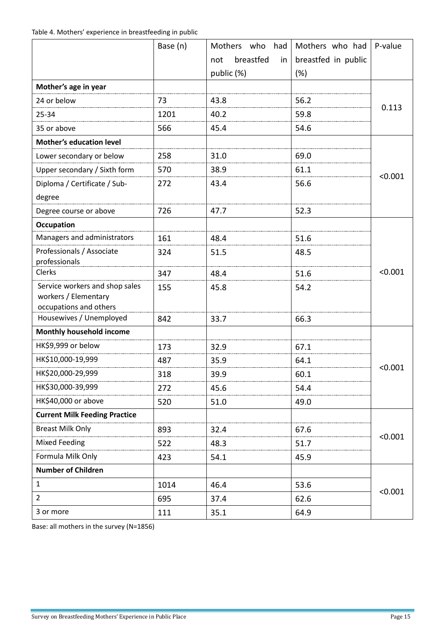|                                                                                  | Base (n) | Mothers who<br>had     | Mothers who had     | P-value |  |
|----------------------------------------------------------------------------------|----------|------------------------|---------------------|---------|--|
|                                                                                  |          | breastfed<br>not<br>in | breastfed in public |         |  |
|                                                                                  |          | public (%)             | (%)                 |         |  |
| Mother's age in year                                                             |          |                        |                     |         |  |
| 24 or below                                                                      | 73       | 43.8                   | 56.2                | 0.113   |  |
| 25-34                                                                            | 1201     | 40.2                   | 59.8                |         |  |
| 35 or above                                                                      | 566      | 45.4<br>54.6           |                     |         |  |
| Mother's education level                                                         |          |                        |                     |         |  |
| Lower secondary or below                                                         | 258      | 31.0                   | 69.0                |         |  |
| Upper secondary / Sixth form                                                     | 570      | 38.9                   | 61.1                | < 0.001 |  |
| Diploma / Certificate / Sub-                                                     | 272      | 43.4                   | 56.6                |         |  |
| degree                                                                           |          |                        |                     |         |  |
| Degree course or above                                                           | 726      | 47.7                   | 52.3                |         |  |
| <b>Occupation</b>                                                                |          |                        |                     |         |  |
| Managers and administrators                                                      | 161      | 48.4                   | 51.6                |         |  |
| Professionals / Associate<br>professionals                                       | 324      | 51.5                   | 48.5                | < 0.001 |  |
| Clerks                                                                           | 347      | 48.4                   | 51.6                |         |  |
| Service workers and shop sales<br>workers / Elementary<br>occupations and others | 155      | 45.8                   | 54.2                |         |  |
| Housewives / Unemployed                                                          | 842      | 33.7                   | 66.3                |         |  |
| Monthly household income                                                         |          |                        |                     |         |  |
| HK\$9,999 or below                                                               | 173      | 32.9<br>67.1           |                     |         |  |
| HK\$10,000-19,999                                                                | 487      | 35.9                   | 64.1                | < 0.001 |  |
| HK\$20,000-29,999                                                                | 318      | 39.9                   | 60.1                |         |  |
| HK\$30,000-39,999                                                                | 272      | 45.6                   | 54.4                |         |  |
| HK\$40,000 or above                                                              | 520      | 51.0                   | 49.0                |         |  |
| <b>Current Milk Feeding Practice</b>                                             |          |                        |                     |         |  |
| <b>Breast Milk Only</b>                                                          | 893      | 32.4                   | 67.6                |         |  |
| <b>Mixed Feeding</b>                                                             | 522      | 48.3                   | 51.7                | < 0.001 |  |
| Formula Milk Only                                                                | 423      | 54.1                   | 45.9                |         |  |
| <b>Number of Children</b>                                                        |          |                        |                     |         |  |
| $\mathbf{1}$                                                                     | 1014     | 46.4                   | 53.6                |         |  |
| $\overline{2}$                                                                   | 695      | 37.4                   | 62.6                | < 0.001 |  |
| 3 or more                                                                        | 111      | 35.1                   | 64.9                |         |  |

Base: all mothers in the survey (N=1856)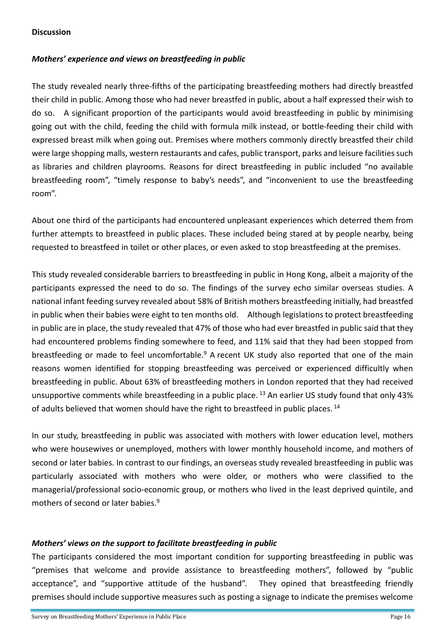#### **Discussion**

## *Mothers' experience and views on breastfeeding in public*

The study revealed nearly three-fifths of the participating breastfeeding mothers had directly breastfed their child in public. Among those who had never breastfed in public, about a half expressed their wish to do so. A significant proportion of the participants would avoid breastfeeding in public by minimising going out with the child, feeding the child with formula milk instead, or bottle-feeding their child with expressed breast milk when going out. Premises where mothers commonly directly breastfed their child were large shopping malls, western restaurants and cafes, public transport, parks and leisure facilities such as libraries and children playrooms. Reasons for direct breastfeeding in public included "no available breastfeeding room", "timely response to baby's needs", and "inconvenient to use the breastfeeding room".

About one third of the participants had encountered unpleasant experiences which deterred them from further attempts to breastfeed in public places. These included being stared at by people nearby, being requested to breastfeed in toilet or other places, or even asked to stop breastfeeding at the premises.

This study revealed considerable barriers to breastfeeding in public in Hong Kong, albeit a majority of the participants expressed the need to do so. The findings of the survey echo similar overseas studies. A national infant feeding survey revealed about 58% of British mothers breastfeeding initially, had breastfed in public when their babies were eight to ten months old. Although legislations to protect breastfeeding in public are in place, the study revealed that 47% of those who had ever breastfed in public said that they had encountered problems finding somewhere to feed, and 11% said that they had been stopped from breastfeeding or made to feel uncomfortable.<sup>9</sup> A recent UK study also reported that one of the main reasons women identified for stopping breastfeeding was perceived or experienced difficultly when breastfeeding in public. About 63% of breastfeeding mothers in London reported that they had received unsupportive comments while breastfeeding in a public place.  $^{13}$  An earlier US study found that only 43% of adults believed that women should have the right to breastfeed in public places.<sup>14</sup>

In our study, breastfeeding in public was associated with mothers with lower education level, mothers who were housewives or unemployed, mothers with lower monthly household income, and mothers of second or later babies. In contrast to our findings, an overseas study revealed breastfeeding in public was particularly associated with mothers who were older, or mothers who were classified to the managerial/professional socio-economic group, or mothers who lived in the least deprived quintile, and mothers of second or later babies. 9

# *Mothers' views on the support to facilitate breastfeeding in public*

The participants considered the most important condition for supporting breastfeeding in public was "premises that welcome and provide assistance to breastfeeding mothers", followed by "public acceptance", and "supportive attitude of the husband". They opined that breastfeeding friendly premises should include supportive measures such as posting a signage to indicate the premises welcome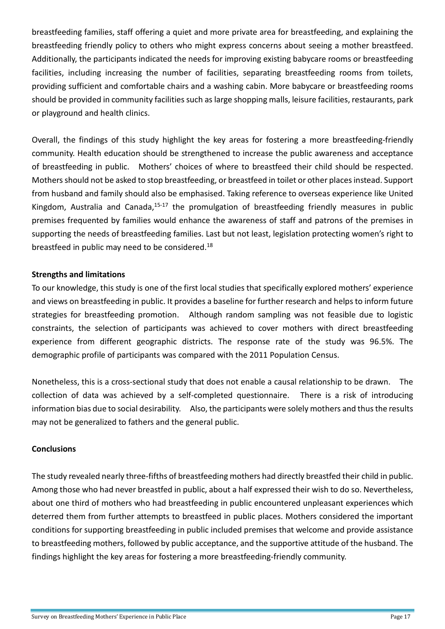breastfeeding families, staff offering a quiet and more private area for breastfeeding, and explaining the breastfeeding friendly policy to others who might express concerns about seeing a mother breastfeed. Additionally, the participants indicated the needs for improving existing babycare rooms or breastfeeding facilities, including increasing the number of facilities, separating breastfeeding rooms from toilets, providing sufficient and comfortable chairs and a washing cabin. More babycare or breastfeeding rooms should be provided in community facilities such as large shopping malls, leisure facilities, restaurants, park or playground and health clinics.

Overall, the findings of this study highlight the key areas for fostering a more breastfeeding-friendly community. Health education should be strengthened to increase the public awareness and acceptance of breastfeeding in public. Mothers' choices of where to breastfeed their child should be respected. Mothers should not be asked to stop breastfeeding, or breastfeed in toilet or other places instead. Support from husband and family should also be emphasised. Taking reference to overseas experience like United Kingdom, Australia and Canada, $15-17$  the promulgation of breastfeeding friendly measures in public premises frequented by families would enhance the awareness of staff and patrons of the premises in supporting the needs of breastfeeding families. Last but not least, legislation protecting women's right to breastfeed in public may need to be considered.<sup>18</sup>

#### **Strengths and limitations**

To our knowledge, this study is one of the first local studies that specifically explored mothers' experience and views on breastfeeding in public. It provides a baseline for further research and helps to inform future strategies for breastfeeding promotion. Although random sampling was not feasible due to logistic constraints, the selection of participants was achieved to cover mothers with direct breastfeeding experience from different geographic districts. The response rate of the study was 96.5%. The demographic profile of participants was compared with the 2011 Population Census.

Nonetheless, this is a cross-sectional study that does not enable a causal relationship to be drawn. The collection of data was achieved by a self-completed questionnaire. There is a risk of introducing information bias due to social desirability. Also, the participants were solely mothers and thus the results may not be generalized to fathers and the general public.

#### **Conclusions**

The study revealed nearly three-fifths of breastfeeding mothers had directly breastfed their child in public. Among those who had never breastfed in public, about a half expressed their wish to do so. Nevertheless, about one third of mothers who had breastfeeding in public encountered unpleasant experiences which deterred them from further attempts to breastfeed in public places. Mothers considered the important conditions for supporting breastfeeding in public included premises that welcome and provide assistance to breastfeeding mothers, followed by public acceptance, and the supportive attitude of the husband. The findings highlight the key areas for fostering a more breastfeeding-friendly community.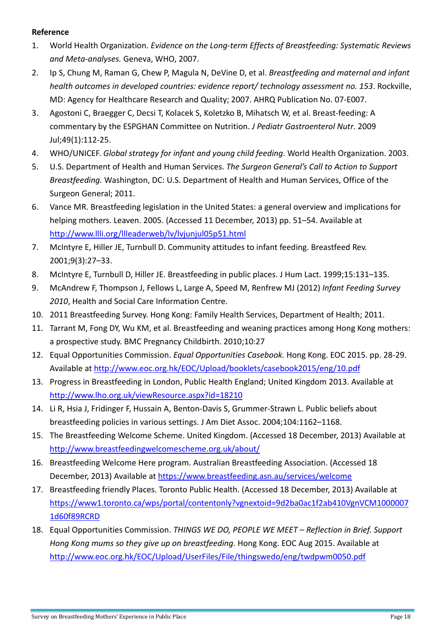# **Reference**

- 1. World Health Organization. *Evidence on the Long-term Effects of Breastfeeding: Systematic Reviews and Meta-analyses.* Geneva, WHO, 2007.
- 2. Ip S, Chung M, Raman G, Chew P, Magula N, DeVine D, et al. *Breastfeeding and maternal and infant health outcomes in developed countries: evidence report/ technology assessment no. 153*. Rockville, MD: Agency for Healthcare Research and Quality; 2007. AHRQ Publication No. 07-E007.
- 3. Agostoni C, Braegger C, Decsi T, Kolacek S, Koletzko B, Mihatsch W, et al. Breast-feeding: A commentary by the ESPGHAN Committee on Nutrition. *J Pediatr Gastroenterol Nutr*. 2009 Jul;49(1):112-25.
- 4. WHO/UNICEF. *Global strategy for infant and young child feeding*. World Health Organization. 2003.
- 5. U.S. Department of Health and Human Services. *The Surgeon General's Call to Action to Support Breastfeeding.* Washington, DC: U.S. Department of Health and Human Services, Office of the Surgeon General; 2011.
- 6. Vance MR. Breastfeeding legislation in the United States: a general overview and implications for helping mothers. Leaven. 2005. (Accessed 11 December, 2013) pp. 51–54. Available at <http://www.llli.org/llleaderweb/lv/lvjunjul05p51.html>
- 7. McIntyre E, Hiller JE, Turnbull D. Community attitudes to infant feeding. Breastfeed Rev. 2001;9(3):27–33.
- 8. McIntyre E, Turnbull D, Hiller JE. Breastfeeding in public places. J Hum Lact. 1999;15:131–135.
- 9. McAndrew F, Thompson J, Fellows L, Large A, Speed M, Renfrew MJ (2012) *Infant Feeding Survey 2010*, Health and Social Care Information Centre.
- 10. 2011 Breastfeeding Survey. Hong Kong: Family Health Services, Department of Health; 2011.
- 11. Tarrant M, Fong DY, Wu KM, et al. Breastfeeding and weaning practices among Hong Kong mothers: a prospective study. BMC Pregnancy Childbirth. 2010;10:27
- 12. Equal Opportunities Commission. *Equal Opportunities Casebook.* Hong Kong. EOC 2015. pp. 28-29. Available a[t http://www.eoc.org.hk/EOC/Upload/booklets/casebook2015/eng/10.pdf](http://www.eoc.org.hk/EOC/Upload/booklets/casebook2015/eng/10.pdf)
- 13. Progress in Breastfeeding in London, Public Health England; United Kingdom 2013. Available at <http://www.lho.org.uk/viewResource.aspx?id=18210>
- 14. Li R, Hsia J, Fridinger F, Hussain A, Benton-Davis S, Grummer-Strawn L. Public beliefs about breastfeeding policies in various settings. J Am Diet Assoc. 2004;104:1162–1168.
- 15. The Breastfeeding Welcome Scheme. United Kingdom. (Accessed 18 December, 2013) Available at <http://www.breastfeedingwelcomescheme.org.uk/about/>
- 16. Breastfeeding Welcome Here program. Australian Breastfeeding Association. (Accessed 18 December, 2013) Available at<https://www.breastfeeding.asn.au/services/welcome>
- 17. Breastfeeding friendly Places. Toronto Public Health. (Accessed 18 December, 2013) Available at [https://www1.toronto.ca/wps/portal/contentonly?vgnextoid=9d2ba0ac1f2ab410VgnVCM1000007](https://www1.toronto.ca/wps/portal/contentonly?vgnextoid=9d2ba0ac1f2ab410VgnVCM10000071d60f89RCRD) [1d60f89RCRD](https://www1.toronto.ca/wps/portal/contentonly?vgnextoid=9d2ba0ac1f2ab410VgnVCM10000071d60f89RCRD)
- 18. Equal Opportunities Commission. *THINGS WE DO, PEOPLE WE MEET – Reflection in Brief. Support Hong Kong mums so they give up on breastfeeding.* Hong Kong. EOC Aug 2015. Available at http://www.eoc.org.hk/EOC/Upload/UserFiles/File/thingswedo/eng/twdpwm0050.pdf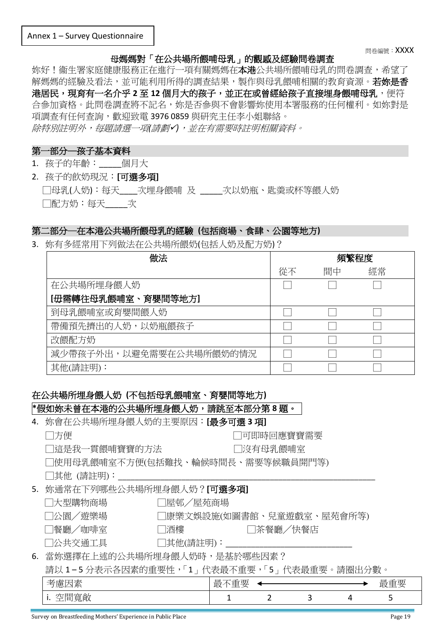#### 母媽媽對「在公共場所餵哺母乳」的觀感及經驗問卷調查

**妳好!衞生署家庭健康服務正在進行一項有關媽媽在本港公共場所餵哺母乳的問卷調查,希望了** 解媽媽的經驗及看法,並可能利用所得的調查結果,製作與母乳餵哺相關的教育資源。**若妳是香** 港居民,現育有一名介乎 **2** 至 **12** 個月大的孩子,並正在或曾經給孩子直接埋身餵哺母乳,便符 合參加資格。此問卷調查將不記名,妳是否參與不會影響妳使用本署服務的任何權利。如妳對是 項調查有任何查詢,歡迎致電 3976 0859 與研究主任李小姐聯絡。 除特別註明外,每題請選一項**請劃√**,並在有需要時註明相關資料。

# 第一部分─孩子基本資料

- 1. 孩子的年齡:\_\_\_\_\_個月大
- 2. 孩子的飲奶現況:**[**可選多項**]** □母乳(人奶):每天\_\_\_\_次埋身餵哺 及 \_\_\_\_\_次以奶瓶、匙羮或杯等餵人奶 □配方奶:每天\_\_\_\_\_次

## 第二部分─在本港公共場所餵母乳的經驗 **(**包括商場、食肆、公園等地方**)**

3. 妳有多經常用下列做法在公共場所餵奶(包括人奶及配方奶)?

| 做法                      |    | 頻繁程度 |    |  |  |
|-------------------------|----|------|----|--|--|
|                         | 從不 | 間中   | 經常 |  |  |
| 在公共場所埋身餵人奶              |    |      |    |  |  |
| [毋需轉往母乳餵哺室、育嬰間等地方]      |    |      |    |  |  |
| 到母乳餵哺室或育嬰間餵人奶           |    |      |    |  |  |
| 帶備預先擠出的人奶,以奶瓶餵孩子        |    |      |    |  |  |
| 改餵配方奶                   |    |      |    |  |  |
| 減少帶孩子外出,以避免需要在公共場所餵奶的情況 |    |      |    |  |  |
| 其他(請註明):                |    |      |    |  |  |

# 在公共場所埋身餵人奶 **(**不包括母乳餵哺室、育嬰間等地方**)**

**\***假如妳未曾在本港的公共場所埋身餵人奶,請跳至本部分第 **8** 題。

| 4. 妳會在公共場所埋身餵人奶的主要原因: [最多可選3項]            |          |                |   |   |     |
|-------------------------------------------|----------|----------------|---|---|-----|
| □方便                                       |          | □可即時回應寶寶需要     |   |   |     |
| □這是我一貫餵哺寶寶的方法                             |          | □沒有母乳餵哺室       |   |   |     |
| □使用母乳餵哺室不方便(包括難找、輪候時間長、需要等候職員開門等)         |          |                |   |   |     |
| □其他 (請註明):                                |          |                |   |   |     |
| 5. 妳通常在下列哪些公共場所埋身餵人奶?[可 <b>選多項]</b>       |          |                |   |   |     |
| □大型購物商場     □屋邨/屋苑商場                      |          |                |   |   |     |
| □公園/遊樂場<br>□康樂文娛設施(如圖書館、兒童遊戲室、屋苑會所等)      |          |                |   |   |     |
| □餐廳/咖啡室<br>□洒樓                            | □茶餐廳/快餐店 |                |   |   |     |
| □公共交通工具                                   |          |                |   |   |     |
| 6. 當妳選擇在上述的公共場所埋身餵人奶時,是基於哪些因素?            |          |                |   |   |     |
| 請以1-5分表示各因素的重要性,「1」代表最不重要,「5」代表最重要。請圈出分數。 |          |                |   |   |     |
| 考慮因素                                      | 最不重要 ←   |                |   |   | 最重要 |
| i. 空間寬敞                                   | 1        | $\overline{2}$ | 3 | 4 | 5   |
|                                           |          |                |   |   |     |

#### Survey on Breastfeeding Mothers' Experience in Public Place **Page 19** and the page 19 and the Page 19 and the Page 19 and the Page 19 and the Page 19 and the Page 19 and the Page 19 and the Page 19 and the Page 19 and the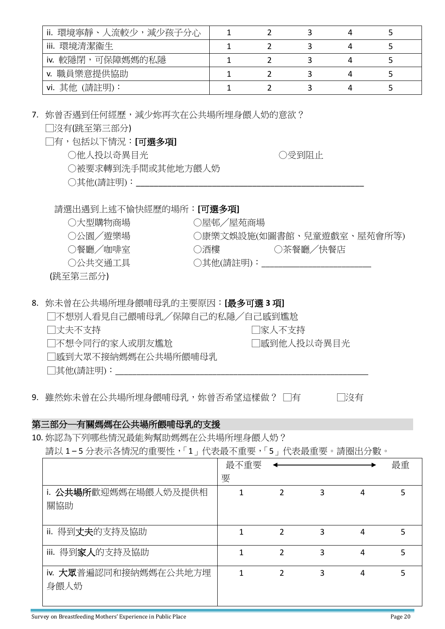| 減少孩子分心<br>環境寧靜、人流較少,<br>ii. |  |  |  |
|-----------------------------|--|--|--|
| 環境清潔衞生<br>iii.              |  |  |  |
| 較隱閉,可保障媽媽的私隱<br>İV.         |  |  |  |
| 職員樂意提供協助<br>v.              |  |  |  |
| (請註明):<br>vi. 其他            |  |  |  |

7. 妳曾否遇到任何經歷,減少妳再次在公共場所埋身餵人奶的意欲?

□沒有(跳至第三部分)

□有,包括以下情況:**[**可選多項**]**

○他人投以奇異目光○受到阻止

○被要求轉到洗手間或其他地方餵人奶

○其他(請註明):

| 請選出遇到上述不愉快經歷的場所:[可選多項] |  |  |
|------------------------|--|--|
|------------------------|--|--|

| ○大型購物商場  | ○屋邨/屋苑商場                  |  |
|----------|---------------------------|--|
| ○公園/遊樂場  | ○康樂文娛設施(如圖書館、兒童遊戲室、屋苑會所等) |  |
| ○餐廳/咖啡室  | ○洒樓<br>○茶餐廳/快餐店           |  |
| ○公共交涌工具  | ○其他(請註明):                 |  |
| (跳至第三部分) |                           |  |

8. 妳未曾在公共場所埋身餵哺母乳的主要原因:**[**最多可選 **3** 項**]**

| □不想別人看見自己餵哺母乳/保障自己的私隱/自己感到尷尬 |  |
|------------------------------|--|
|                              |  |

□丈夫不支持<br>□文夫不支持

□不想令同行的家人或朋友尷尬 □ □ □ □感到他人投以奇異目光

□感到大眾不接納媽媽在公共場所餵哺母乳

 $\Box$ 其他(請註明):

9. 雖然妳未曾在公共場所埋身餵哺母乳,妳曾否希望這樣做?「有 |

# 第三部分─有關媽媽在公共場所餵哺母乳的支援

10. 妳認為下列哪些情況最能夠幫助媽媽在公共場所埋身餵人奶?

請以 1 – 5 分表示各情況的重要性,「1」代表最不重要,「5」代表最重要。請圈出分數。

|                       | 最不重要 |   |   |   | 最重 |
|-----------------------|------|---|---|---|----|
|                       | 要    |   |   |   |    |
| i. 公共場所歡迎媽媽在場餵人奶及提供相  |      | 2 | 3 | 4 | 5  |
| 關協助                   |      |   |   |   |    |
|                       |      |   |   |   |    |
| ii. 得到丈夫的支持及協助        |      | 2 | 3 | 4 | 5  |
| iii. 得到家人的支持及協助       |      | 2 | 3 | 4 | 5  |
| iv. 大眾普遍認同和接納媽媽在公共地方埋 |      | 2 | 3 | 4 |    |
| 身餵人奶                  |      |   |   |   |    |
|                       |      |   |   |   |    |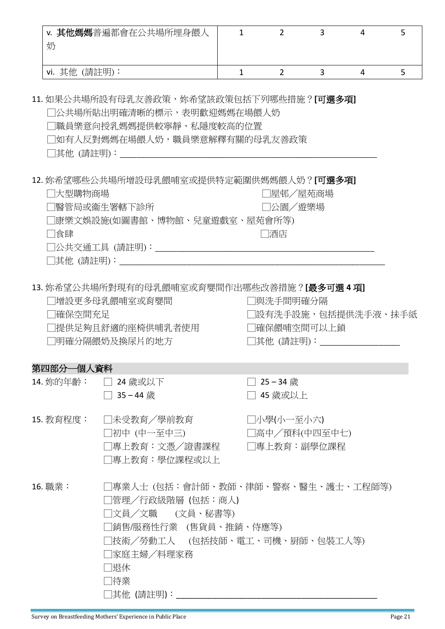| 奶              | v. 其他媽媽普遍都會在公共場所埋身餵人                                                                                                                                                                | $\mathbf{1}$ | $\overline{2}$                                                              | $\overline{3}$ | 4 | 5 |
|----------------|-------------------------------------------------------------------------------------------------------------------------------------------------------------------------------------|--------------|-----------------------------------------------------------------------------|----------------|---|---|
| vi. 其他 (請註明):  |                                                                                                                                                                                     | $\mathbf{1}$ | $\overline{2}$                                                              | $\overline{3}$ | 4 | 5 |
|                | 11. 如果公共場所設有母乳友善政策,妳希望該政策包括下列哪些措施?[ <b>可選多項</b> ]<br>□公共場所貼出明確清晰的標示,表明歡迎媽媽在場餵人奶<br>□職員樂意向授乳媽媽提供較寧靜、私隱度較高的位置<br>□如有人反對媽媽在場餵人奶,職員樂意解釋有關的母乳友善政策<br>□其他 (請註明):                          |              |                                                                             |                |   |   |
| □大型購物商場<br>□食肆 | 12. 妳希望哪些公共場所增設母乳餵哺室或提供特定範圍供媽媽餵人奶?[可選多項]<br>□醫管局或衞牛署轄下診所<br>□康樂文娛設施(如圖書館、博物館、兒童遊戲室、屋苑會所等)<br>□公共交通工具 (請註明):______________________                                                   |              | □屋邨/屋苑商場<br>□公園/遊樂場<br>□酒店                                                  |                |   |   |
| □確保空間充足        | 13. 妳希望公共場所對現有的母乳餵哺室或育嬰間作出哪些改善措施? [最多可選4項]<br>□增設更多母乳餵哺室或育嬰間<br>□提供足夠且舒適的座椅供哺乳者使用<br>7明確分隔餵奶及換尿片的地方                                                                                 |              | □與洗手間明確分隔<br>□設有洗手設施,包括提供洗手液、抹手紙<br>□確保餵哺空間可以上鎖<br>□其他 (請註明): ───────────── |                |   |   |
| 第四部分——個人資料     |                                                                                                                                                                                     |              |                                                                             |                |   |   |
|                | 14. 妳的年齡:     □  24 歲或以下<br>□ 35-44 歳                                                                                                                                               |              | □ 25-34 歲<br>□ 45 歳或以上                                                      |                |   |   |
| 15. 教育程度:      | □未受教育/學前教育<br>□初中 (中一至中三) ──<br>□專上教育:文憑/證書課程 □ □專上教育:副學位課程<br>□專上教育:學位課程或以上                                                                                                        |              | □小學(小一至小六)<br>□高中/預科(中四至中七)                                                 |                |   |   |
| 16. 職業:        | □專業人士 (包括:會計師、教師、律師、警察、醫生、護士、工程師等)<br>□管理/行政級階層 (包括:商人)<br>□文員/文職──(文員、秘書等)<br>□銷售/服務性行業 (售貨員、推銷、侍應等)<br>□技術/勞動工人 (包括技師、電工、司機、厨師、包裝工人等)<br>□家庭主婦/料理家務<br>□退休<br>□待業<br>□其他 (請註明):__ |              |                                                                             |                |   |   |